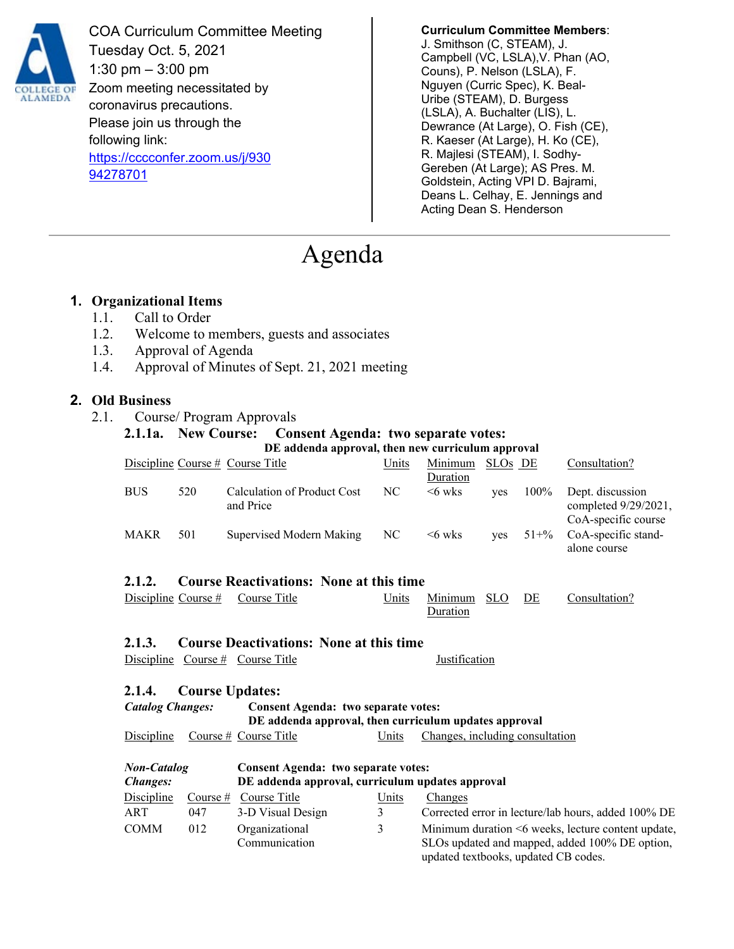

COA Curriculum Committee Meeting Tuesday Oct. 5, 2021 1:30 pm – 3:00 pm Zoom meeting necessitated by coronavirus precautions. Please join us through the following link: [https://cccconfer.zoom.us/j/930](https://cccconfer.zoom.us/j/93094278701) [94278701](https://cccconfer.zoom.us/j/93094278701)

**Curriculum Committee Members**: J. Smithson (C, STEAM), J. Campbell (VC, LSLA),V. Phan (AO, Couns), P. Nelson (LSLA), F. Nguyen (Curric Spec), K. Beal-Uribe (STEAM), D. Burgess (LSLA), A. Buchalter (LIS), L. Dewrance (At Large), O. Fish (CE), R. Kaeser (At Large), H. Ko (CE), R. Majlesi (STEAM), I. Sodhy-Gereben (At Large); AS Pres. M. Goldstein, Acting VPI D. Bajrami, Deans L. Celhay, E. Jennings and Acting Dean S. Henderson

updated textbooks, updated CB codes.

# Agenda

## **1. Organizational Items**

- 1.1. Call to Order
- 1.2. Welcome to members, guests and associates
- 1.3. Approval of Agenda
- 1.4. Approval of Minutes of Sept. 21, 2021 meeting

#### **2. Old Business**

2.1. Course/ Program Approvals

## **2.1.1a. New Course:** Consent Agenda: two separate votes:

|                                                          |     | DE addenda approval, then new curriculum approval     |       |                                 |                     |           |                                                                                                      |  |
|----------------------------------------------------------|-----|-------------------------------------------------------|-------|---------------------------------|---------------------|-----------|------------------------------------------------------------------------------------------------------|--|
|                                                          |     | Discipline Course # Course Title                      | Units | Minimum                         | SLO <sub>s</sub> DE |           | Consultation?                                                                                        |  |
|                                                          |     |                                                       |       | Duration                        |                     |           |                                                                                                      |  |
| <b>BUS</b>                                               | 520 | <b>Calculation of Product Cost</b><br>and Price       | NC    | $<6$ wks                        | yes                 | 100%      | Dept. discussion<br>completed 9/29/2021,<br>CoA-specific course                                      |  |
| MAKR                                                     | 501 | Supervised Modern Making                              | NC    | $<6$ wks                        | yes                 | $51 + \%$ | CoA-specific stand-<br>alone course                                                                  |  |
| <b>Course Reactivations: None at this time</b><br>2.1.2. |     |                                                       |       |                                 |                     |           |                                                                                                      |  |
| Discipline Course $#$                                    |     | Course Title                                          | Units | Minimum<br>Duration             | <b>SLO</b>          | DE        | Consultation?                                                                                        |  |
| 2.1.3.                                                   |     | <b>Course Deactivations: None at this time</b>        |       |                                 |                     |           |                                                                                                      |  |
|                                                          |     | Discipline Course # Course Title                      |       | <b>Justification</b>            |                     |           |                                                                                                      |  |
| 2.1.4.                                                   |     | <b>Course Updates:</b>                                |       |                                 |                     |           |                                                                                                      |  |
| <b>Catalog Changes:</b>                                  |     | Consent Agenda: two separate votes:                   |       |                                 |                     |           |                                                                                                      |  |
|                                                          |     | DE addenda approval, then curriculum updates approval |       |                                 |                     |           |                                                                                                      |  |
| Discipline                                               |     | Course $#$ Course Title                               | Units | Changes, including consultation |                     |           |                                                                                                      |  |
| <b>Non-Catalog</b>                                       |     | <b>Consent Agenda: two separate votes:</b>            |       |                                 |                     |           |                                                                                                      |  |
| Changes:                                                 |     | DE addenda approval, curriculum updates approval      |       |                                 |                     |           |                                                                                                      |  |
| Discipline                                               |     | Course $#$ Course Title                               | Units | Changes                         |                     |           |                                                                                                      |  |
| ART                                                      | 047 | 3-D Visual Design                                     | 3     |                                 |                     |           | Corrected error in lecture/lab hours, added 100% DE                                                  |  |
| <b>COMM</b>                                              | 012 | Organizational<br>Communication                       | 3     |                                 |                     |           | Minimum duration <6 weeks, lecture content update,<br>SLOs updated and mapped, added 100% DE option, |  |